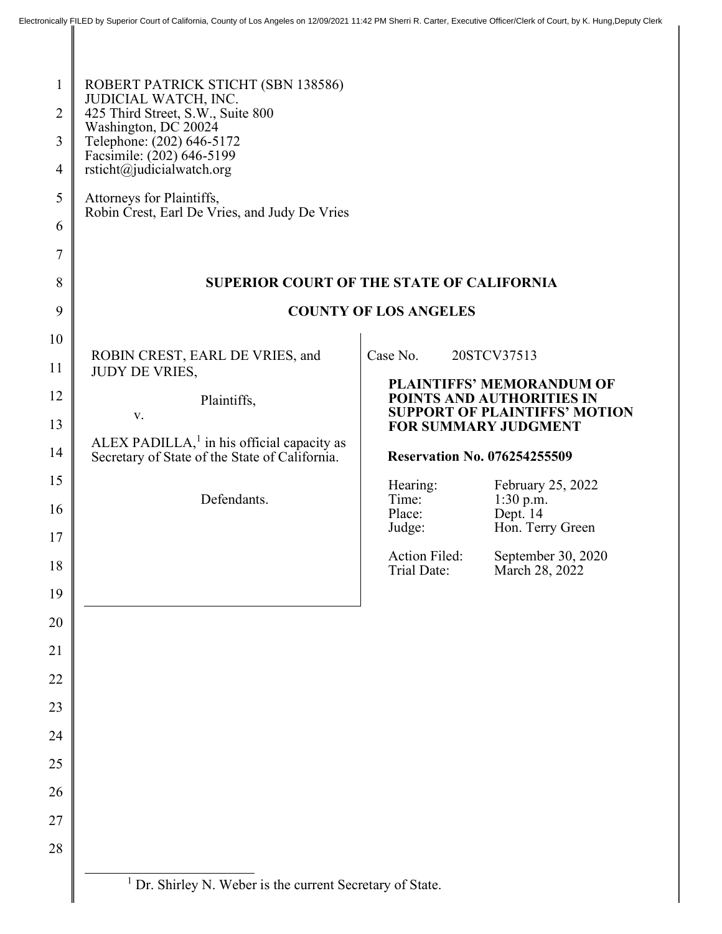| $\mathbf{1}$<br>$\overline{2}$<br>3<br>$\overline{4}$ | ROBERT PATRICK STICHT (SBN 138586)<br>JUDICIAL WATCH, INC.<br>425 Third Street, S.W., Suite 800<br>Washington, DC 20024<br>Telephone: (202) 646-5172<br>Facsimile: (202) 646-5199<br>rsticht@judicialwatch.org |                              |                                                                     |  |
|-------------------------------------------------------|----------------------------------------------------------------------------------------------------------------------------------------------------------------------------------------------------------------|------------------------------|---------------------------------------------------------------------|--|
| 5                                                     | Attorneys for Plaintiffs,<br>Robin Crest, Earl De Vries, and Judy De Vries                                                                                                                                     |                              |                                                                     |  |
| 6                                                     |                                                                                                                                                                                                                |                              |                                                                     |  |
| $\overline{7}$                                        |                                                                                                                                                                                                                |                              |                                                                     |  |
| 8                                                     | <b>SUPERIOR COURT OF THE STATE OF CALIFORNIA</b><br><b>COUNTY OF LOS ANGELES</b>                                                                                                                               |                              |                                                                     |  |
| 9                                                     |                                                                                                                                                                                                                |                              |                                                                     |  |
| 10<br>11                                              | ROBIN CREST, EARL DE VRIES, and<br>JUDY DE VRIES,                                                                                                                                                              | Case No.                     | 20STCV37513                                                         |  |
| 12                                                    | Plaintiffs,                                                                                                                                                                                                    |                              | <b>PLAINTIFFS' MEMORANDUM OF</b><br>POINTS AND AUTHORITIES IN       |  |
| 13                                                    | V.                                                                                                                                                                                                             |                              | <b>SUPPORT OF PLAINTIFFS' MOTION</b><br><b>FOR SUMMARY JUDGMENT</b> |  |
| 14                                                    | ALEX PADILLA, $1$ in his official capacity as<br>Secretary of State of the State of California.                                                                                                                |                              | <b>Reservation No. 076254255509</b>                                 |  |
| 15                                                    |                                                                                                                                                                                                                | Hearing:                     | February 25, 2022                                                   |  |
| 16                                                    | Defendants.                                                                                                                                                                                                    | Time:<br>Place:              | 1:30 p.m.<br>Dept. 14                                               |  |
| 17                                                    |                                                                                                                                                                                                                | Judge:                       | Hon. Terry Green                                                    |  |
| 18                                                    |                                                                                                                                                                                                                | Action Filed:<br>Trial Date: | September 30, 2020<br>March 28, 2022                                |  |
| 19                                                    |                                                                                                                                                                                                                |                              |                                                                     |  |
| 20                                                    |                                                                                                                                                                                                                |                              |                                                                     |  |
| 21                                                    |                                                                                                                                                                                                                |                              |                                                                     |  |
| 22                                                    |                                                                                                                                                                                                                |                              |                                                                     |  |
| 23                                                    |                                                                                                                                                                                                                |                              |                                                                     |  |
| 24                                                    |                                                                                                                                                                                                                |                              |                                                                     |  |
| 25                                                    |                                                                                                                                                                                                                |                              |                                                                     |  |
| 26                                                    |                                                                                                                                                                                                                |                              |                                                                     |  |
| 27                                                    |                                                                                                                                                                                                                |                              |                                                                     |  |
| 28                                                    |                                                                                                                                                                                                                |                              |                                                                     |  |
|                                                       | <sup>1</sup> Dr. Shirley N. Weber is the current Secretary of State.                                                                                                                                           |                              |                                                                     |  |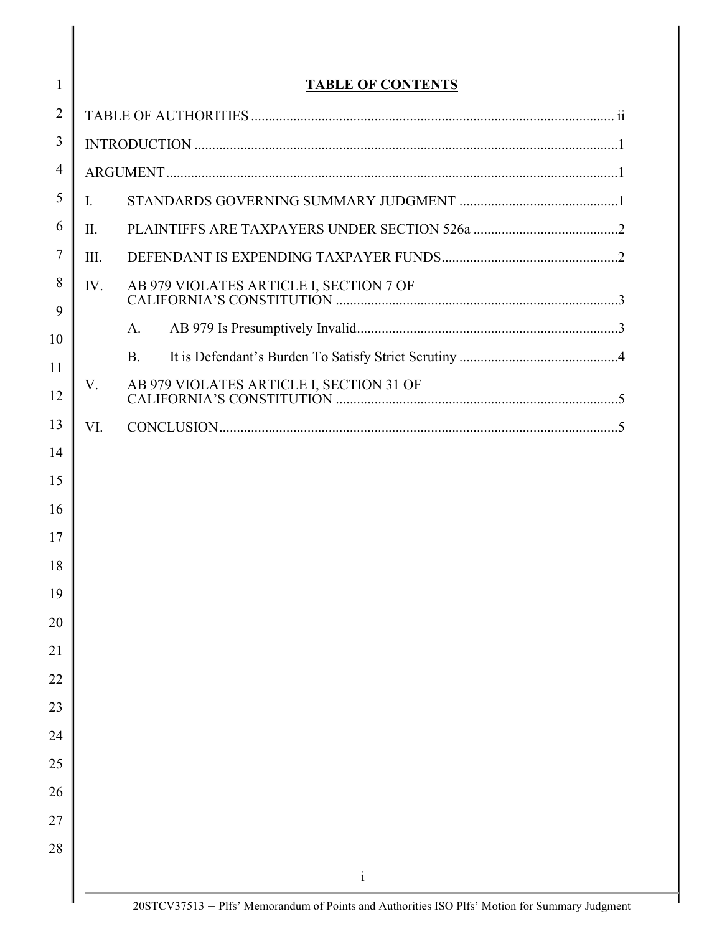|      | <b>TABLE OF CONTENTS</b> |  |  |
|------|--------------------------|--|--|
|      |                          |  |  |
|      |                          |  |  |
|      |                          |  |  |
| Ι.   |                          |  |  |
| II.  |                          |  |  |
| III. |                          |  |  |
| IV.  |                          |  |  |
|      | A.                       |  |  |
|      | <b>B.</b>                |  |  |
| V.   |                          |  |  |
| VI.  |                          |  |  |
|      |                          |  |  |
|      |                          |  |  |
|      | $\mathbf{i}$             |  |  |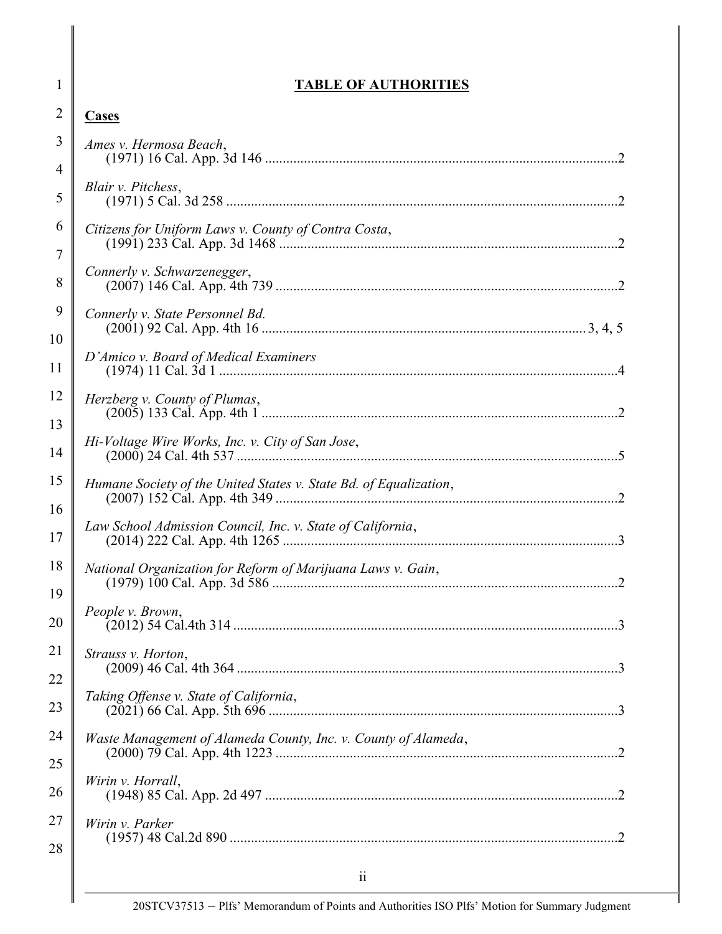### TABLE OF AUTHORITIES

1

| $\overline{2}$      | <b>Cases</b>                                                      |
|---------------------|-------------------------------------------------------------------|
| 3<br>$\overline{4}$ | Ames v. Hermosa Beach,                                            |
| 5                   | Blair v. Pitchess,                                                |
| 6                   | Citizens for Uniform Laws v. County of Contra Costa,              |
| $\overline{7}$<br>8 | Connerly v. Schwarzenegger,                                       |
| 9                   | Connerly v. State Personnel Bd.                                   |
| 10<br>11            | D'Amico v. Board of Medical Examiners                             |
| 12                  | Herzberg v. County of Plumas,                                     |
| 13<br>14            | Hi-Voltage Wire Works, Inc. v. City of San Jose,                  |
| 15                  | Humane Society of the United States v. State Bd. of Equalization, |
| 16<br>17            | Law School Admission Council, Inc. v. State of California,        |
| 18                  | National Organization for Reform of Marijuana Laws v. Gain,       |
| 19<br>20            | People v. Brown,                                                  |
| 21                  | Strauss v. Horton,                                                |
| 22<br>23            | Taking Offense v. State of California,                            |
| 24                  | Waste Management of Alameda County, Inc. v. County of Alameda,    |
| 25<br>26            | Wirin v. Horrall,                                                 |
| 27                  | Wirin v. Parker                                                   |
| 28                  | $\ddot{\rm n}$                                                    |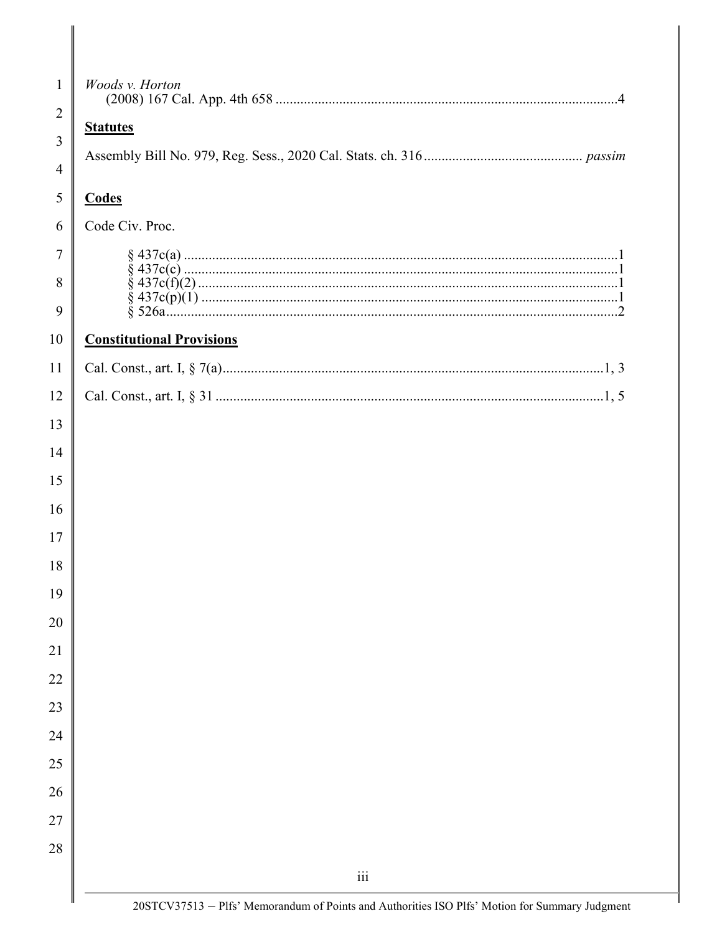| 1  | Woods v. Horton                                                                                                                                     |
|----|-----------------------------------------------------------------------------------------------------------------------------------------------------|
| 2  | <b>Statutes</b>                                                                                                                                     |
| 3  |                                                                                                                                                     |
| 4  |                                                                                                                                                     |
| 5  | <b>Codes</b>                                                                                                                                        |
| 6  | Code Civ. Proc.                                                                                                                                     |
| 7  |                                                                                                                                                     |
| 8  |                                                                                                                                                     |
| 9  |                                                                                                                                                     |
| 10 | <b>Constitutional Provisions</b>                                                                                                                    |
| 11 |                                                                                                                                                     |
| 12 |                                                                                                                                                     |
| 13 |                                                                                                                                                     |
| 14 |                                                                                                                                                     |
| 15 |                                                                                                                                                     |
| 16 |                                                                                                                                                     |
| 17 |                                                                                                                                                     |
| 18 |                                                                                                                                                     |
| 19 |                                                                                                                                                     |
| 20 |                                                                                                                                                     |
| 21 |                                                                                                                                                     |
| 22 |                                                                                                                                                     |
| 23 |                                                                                                                                                     |
| 24 |                                                                                                                                                     |
| 25 |                                                                                                                                                     |
| 26 |                                                                                                                                                     |
| 27 |                                                                                                                                                     |
| 28 |                                                                                                                                                     |
|    | $\overline{111}$                                                                                                                                    |
|    | D <sub>1</sub> f <sub>c</sub> ' Monorandum of Doints and Authorities ISO D <sub>1</sub> f <sub>c</sub> ' Motion for Summary Indomant<br>208TCV27512 |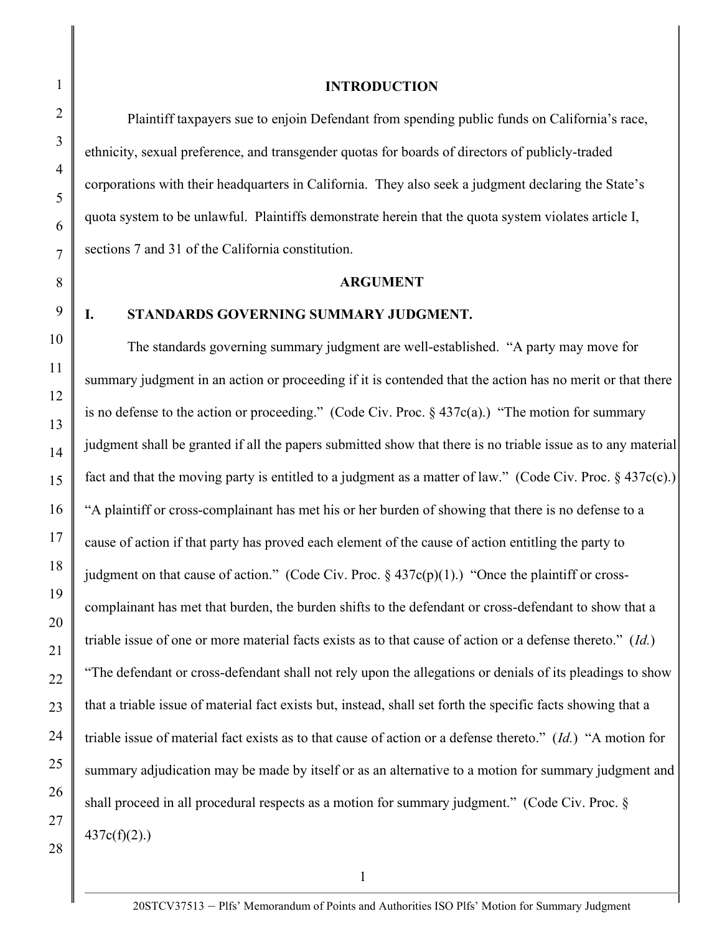# 1 2 3 4 5 6 7 8 9 10 11 12 13 14 15 16 17 18 19 20 21 22 23 24 25 26 27 28

#### INTRODUCTION

 Plaintiff taxpayers sue to enjoin Defendant from spending public funds on California's race, ethnicity, sexual preference, and transgender quotas for boards of directors of publicly-traded corporations with their headquarters in California. They also seek a judgment declaring the State's quota system to be unlawful. Plaintiffs demonstrate herein that the quota system violates article I, sections 7 and 31 of the California constitution.

#### ARGUMENT

#### I. STANDARDS GOVERNING SUMMARY JUDGMENT.

The standards governing summary judgment are well-established. "A party may move for summary judgment in an action or proceeding if it is contended that the action has no merit or that there is no defense to the action or proceeding." (Code Civ. Proc. § 437c(a).) "The motion for summary judgment shall be granted if all the papers submitted show that there is no triable issue as to any material fact and that the moving party is entitled to a judgment as a matter of law." (Code Civ. Proc.  $\S$  437c(c).) "A plaintiff or cross-complainant has met his or her burden of showing that there is no defense to a cause of action if that party has proved each element of the cause of action entitling the party to judgment on that cause of action." (Code Civ. Proc.  $\S$  437c(p)(1).) "Once the plaintiff or crosscomplainant has met that burden, the burden shifts to the defendant or cross-defendant to show that a triable issue of one or more material facts exists as to that cause of action or a defense thereto." (Id.) "The defendant or cross-defendant shall not rely upon the allegations or denials of its pleadings to show that a triable issue of material fact exists but, instead, shall set forth the specific facts showing that a triable issue of material fact exists as to that cause of action or a defense thereto."  $(Id.)$  "A motion for summary adjudication may be made by itself or as an alternative to a motion for summary judgment and shall proceed in all procedural respects as a motion for summary judgment." (Code Civ. Proc. §  $437c(f)(2)$ .)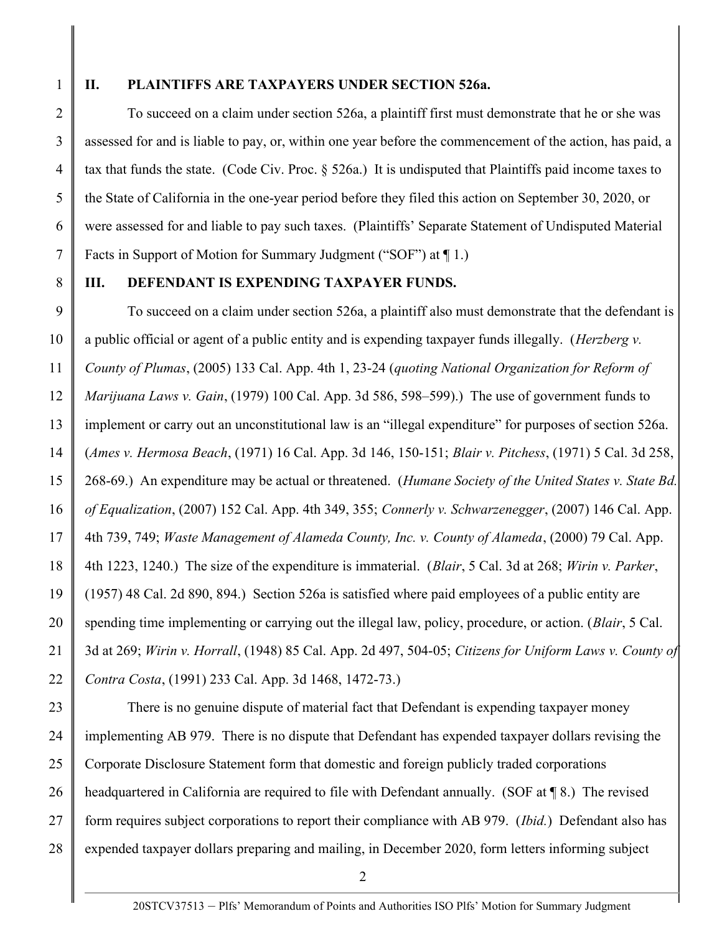1

2

3

4

5

6

7

#### II. PLAINTIFFS ARE TAXPAYERS UNDER SECTION 526a.

 To succeed on a claim under section 526a, a plaintiff first must demonstrate that he or she was assessed for and is liable to pay, or, within one year before the commencement of the action, has paid, a tax that funds the state. (Code Civ. Proc. § 526a.) It is undisputed that Plaintiffs paid income taxes to the State of California in the one-year period before they filed this action on September 30, 2020, or were assessed for and liable to pay such taxes. (Plaintiffs' Separate Statement of Undisputed Material Facts in Support of Motion for Summary Judgment ("SOF") at ¶ 1.)

8

#### III. DEFENDANT IS EXPENDING TAXPAYER FUNDS.

9 10 11 12 13 14 15 16 17 18 19 20 21 22 To succeed on a claim under section 526a, a plaintiff also must demonstrate that the defendant is a public official or agent of a public entity and is expending taxpayer funds illegally. (*Herzberg v.* County of Plumas, (2005) 133 Cal. App. 4th 1, 23-24 (quoting National Organization for Reform of *Marijuana Laws v. Gain,* (1979) 100 Cal. App. 3d 586, 598–599).) The use of government funds to implement or carry out an unconstitutional law is an "illegal expenditure" for purposes of section 526a. (Ames v. Hermosa Beach, (1971) 16 Cal. App. 3d 146, 150-151; Blair v. Pitchess, (1971) 5 Cal. 3d 258, 268-69.) An expenditure may be actual or threatened. (Humane Society of the United States v. State Bd. of Equalization, (2007) 152 Cal. App. 4th 349, 355; Connerly v. Schwarzenegger, (2007) 146 Cal. App. 4th 739, 749; Waste Management of Alameda County, Inc. v. County of Alameda, (2000) 79 Cal. App. 4th 1223, 1240.) The size of the expenditure is immaterial. (Blair, 5 Cal. 3d at 268; Wirin v. Parker, (1957) 48 Cal. 2d 890, 894.) Section 526a is satisfied where paid employees of a public entity are spending time implementing or carrying out the illegal law, policy, procedure, or action. (*Blair*, 5 Cal.) 3d at 269; Wirin v. Horrall, (1948) 85 Cal. App. 2d 497, 504-05; Citizens for Uniform Laws v. County of Contra Costa, (1991) 233 Cal. App. 3d 1468, 1472-73.)

23 24 25 26 27 28 There is no genuine dispute of material fact that Defendant is expending taxpayer money implementing AB 979. There is no dispute that Defendant has expended taxpayer dollars revising the Corporate Disclosure Statement form that domestic and foreign publicly traded corporations headquartered in California are required to file with Defendant annually. (SOF at  $\P$ 8.) The revised form requires subject corporations to report their compliance with AB 979. (*Ibid.*) Defendant also has expended taxpayer dollars preparing and mailing, in December 2020, form letters informing subject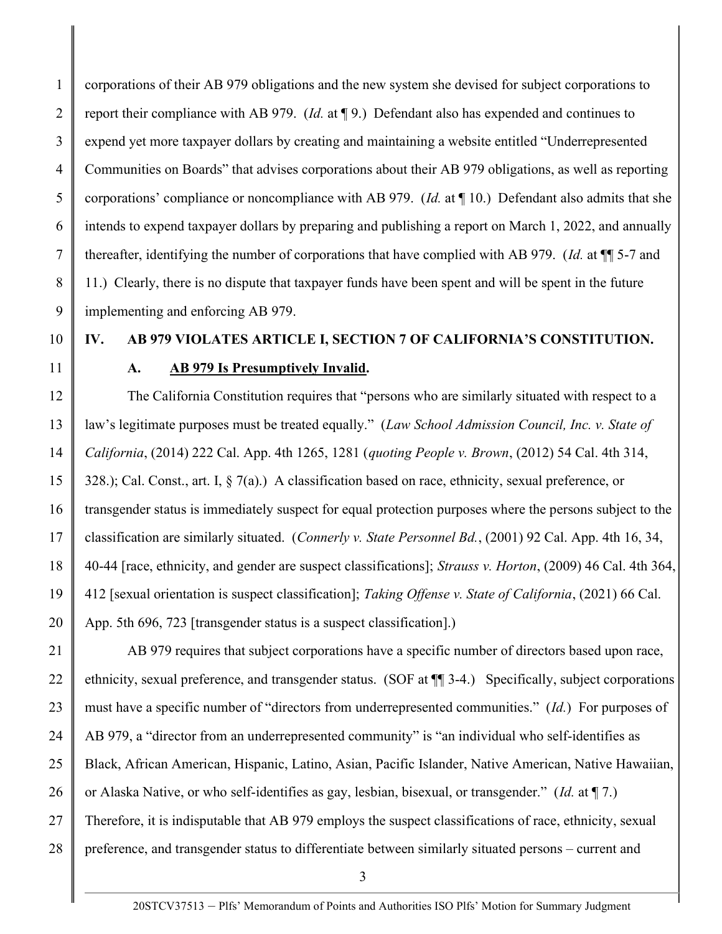1 2 3 4 5 6 7 8 9 corporations of their AB 979 obligations and the new system she devised for subject corporations to report their compliance with AB 979. (Id. at ¶ 9.) Defendant also has expended and continues to expend yet more taxpayer dollars by creating and maintaining a website entitled "Underrepresented Communities on Boards" that advises corporations about their AB 979 obligations, as well as reporting corporations' compliance or noncompliance with AB 979. (Id. at ¶ 10.) Defendant also admits that she intends to expend taxpayer dollars by preparing and publishing a report on March 1, 2022, and annually thereafter, identifying the number of corporations that have complied with AB 979. (Id. at ¶¶ 5-7 and 11.) Clearly, there is no dispute that taxpayer funds have been spent and will be spent in the future implementing and enforcing AB 979.

10

11

## IV. AB 979 VIOLATES ARTICLE I, SECTION 7 OF CALIFORNIA'S CONSTITUTION. A. AB 979 Is Presumptively Invalid.

12 13 14 15 16 17 18 19 20 The California Constitution requires that "persons who are similarly situated with respect to a law's legitimate purposes must be treated equally." (Law School Admission Council, Inc. v. State of California, (2014) 222 Cal. App. 4th 1265, 1281 (quoting People v. Brown, (2012) 54 Cal. 4th 314, 328.); Cal. Const., art. I, § 7(a).) A classification based on race, ethnicity, sexual preference, or transgender status is immediately suspect for equal protection purposes where the persons subject to the classification are similarly situated. (Connerly v. State Personnel Bd., (2001) 92 Cal. App. 4th 16, 34, 40-44 [race, ethnicity, and gender are suspect classifications]; Strauss v. Horton, (2009) 46 Cal. 4th 364, 412 [sexual orientation is suspect classification]; Taking Offense v. State of California, (2021) 66 Cal. App. 5th 696, 723 [transgender status is a suspect classification].)

21 22 23 24 25 26 27 28 AB 979 requires that subject corporations have a specific number of directors based upon race, ethnicity, sexual preference, and transgender status. (SOF at ¶¶ 3-4.) Specifically, subject corporations must have a specific number of "directors from underrepresented communities." (Id.) For purposes of AB 979, a "director from an underrepresented community" is "an individual who self-identifies as Black, African American, Hispanic, Latino, Asian, Pacific Islander, Native American, Native Hawaiian, or Alaska Native, or who self-identifies as gay, lesbian, bisexual, or transgender." (Id. at ¶ 7.) Therefore, it is indisputable that AB 979 employs the suspect classifications of race, ethnicity, sexual preference, and transgender status to differentiate between similarly situated persons – current and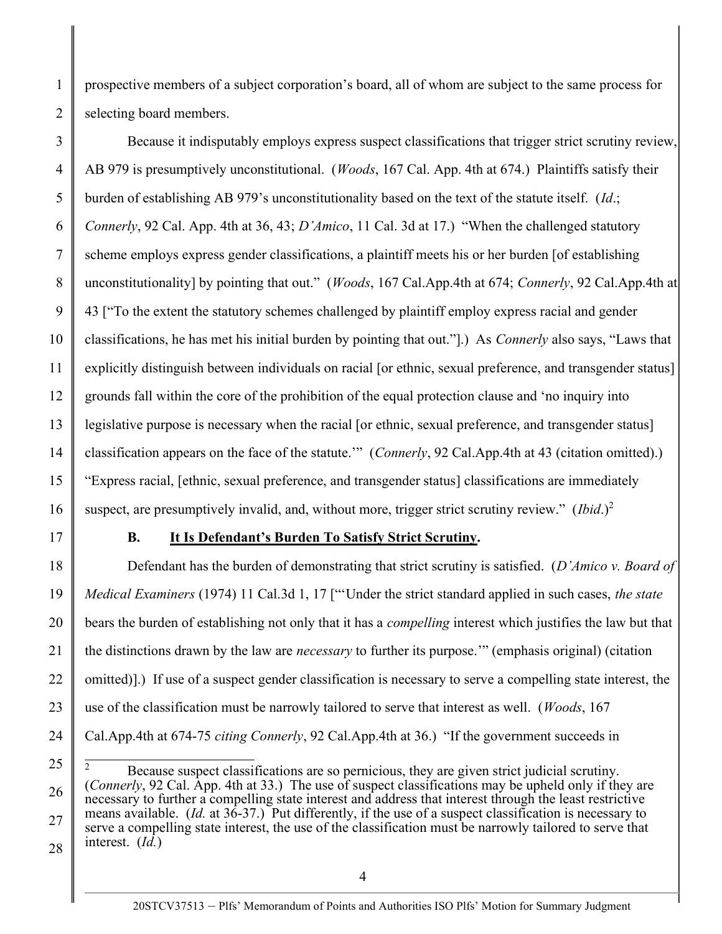prospective members of a subject corporation's board, all of whom are subject to the same process for selecting board members.

3 4 5 6 7 8 9 10 11 12 13 14 15 16 Because it indisputably employs express suspect classifications that trigger strict scrutiny review, AB 979 is presumptively unconstitutional. (Woods, 167 Cal. App. 4th at 674.) Plaintiffs satisfy their burden of establishing AB 979's unconstitutionality based on the text of the statute itself. (Id.; Connerly, 92 Cal. App. 4th at 36, 43; D'Amico, 11 Cal. 3d at 17.) "When the challenged statutory scheme employs express gender classifications, a plaintiff meets his or her burden [of establishing unconstitutionality] by pointing that out." (Woods, 167 Cal.App.4th at 674; Connerly, 92 Cal.App.4th at 43 ["To the extent the statutory schemes challenged by plaintiff employ express racial and gender classifications, he has met his initial burden by pointing that out."].) As Connerly also says, "Laws that explicitly distinguish between individuals on racial [or ethnic, sexual preference, and transgender status] grounds fall within the core of the prohibition of the equal protection clause and 'no inquiry into legislative purpose is necessary when the racial [or ethnic, sexual preference, and transgender status] classification appears on the face of the statute.'" (Connerly, 92 Cal.App.4th at 43 (citation omitted).) "Express racial, [ethnic, sexual preference, and transgender status] classifications are immediately suspect, are presumptively invalid, and, without more, trigger strict scrutiny review."  $(Ibid.)^2$ 

17

1

2

#### B. It Is Defendant's Burden To Satisfy Strict Scrutiny.

18 19 20 21 22 23 24 Defendant has the burden of demonstrating that strict scrutiny is satisfied. (D'Amico v. Board of Medical Examiners (1974) 11 Cal.3d 1, 17 ["'Under the strict standard applied in such cases, the state bears the burden of establishing not only that it has a compelling interest which justifies the law but that the distinctions drawn by the law are *necessary* to further its purpose." (emphasis original) (citation omitted)].) If use of a suspect gender classification is necessary to serve a compelling state interest, the use of the classification must be narrowly tailored to serve that interest as well. (Woods, 167 Cal.App.4th at 674-75 citing Connerly, 92 Cal.App.4th at 36.) "If the government succeeds in

<sup>25</sup> 26 27 28 2 Because suspect classifications are so pernicious, they are given strict judicial scrutiny. (Connerly, 92 Cal. App. 4th at 33.) The use of suspect classifications may be upheld only if they are necessary to further a compelling state interest and address that interest through the least restrictive means available. (Id. at  $36-37$ .) Put differently, if the use of a suspect classification is necessary to serve a compelling state interest, the use of the classification must be narrowly tailored to serve that interest. (Id.)